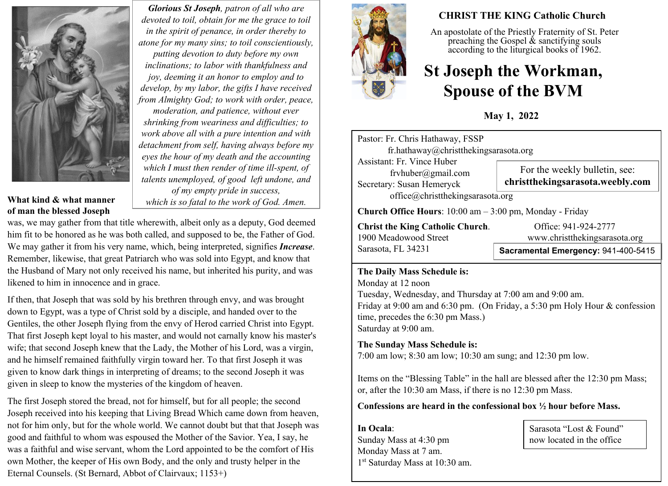

*Glorious St Joseph, patron of all who are devoted to toil, obtain for me the grace to toil in the spirit of penance, in order thereby to atone for my many sins; to toil conscientiously, putting devotion to duty before my own inclinations; to labor with thankfulness and joy, deeming it an honor to employ and to develop, by my labor, the gifts I have received from Almighty God; to work with order, peace, moderation, and patience, without ever shrinking from weariness and difficulties; to work above all with a pure intention and with detachment from self, having always before my eyes the hour of my death and the accounting which I must then render of time ill-spent, of talents unemployed, of good left undone, and of my empty pride in success,* 

#### **What kind & what manner of man the blessed Joseph**

*which is so fatal to the work of God. Amen.*

was, we may gather from that title wherewith, albeit only as a deputy, God deemed him fit to be honored as he was both called, and supposed to be, the Father of God. We may gather it from his very name, which, being interpreted, signifies *Increase*. Remember, likewise, that great Patriarch who was sold into Egypt, and know that the Husband of Mary not only received his name, but inherited his purity, and was likened to him in innocence and in grace.

If then, that Joseph that was sold by his brethren through envy, and was brought down to Egypt, was a type of Christ sold by a disciple, and handed over to the Gentiles, the other Joseph flying from the envy of Herod carried Christ into Egypt. That first Joseph kept loyal to his master, and would not carnally know his master's wife; that second Joseph knew that the Lady, the Mother of his Lord, was a virgin, and he himself remained faithfully virgin toward her. To that first Joseph it was given to know dark things in interpreting of dreams; to the second Joseph it was given in sleep to know the mysteries of the kingdom of heaven.

The first Joseph stored the bread, not for himself, but for all people; the second Joseph received into his keeping that Living Bread Which came down from heaven, not for him only, but for the whole world. We cannot doubt but that that Joseph was good and faithful to whom was espoused the Mother of the Savior. Yea, I say, he was a faithful and wise servant, whom the Lord appointed to be the comfort of His own Mother, the keeper of His own Body, and the only and trusty helper in the Eternal Counsels. (St Bernard, Abbot of Clairvaux; 1153+)



# **CHRIST THE KING Catholic Church**

An apostolate of the Priestly Fraternity of St. Peter preaching the Gospel  $\&$  sanctifying souls according to the liturgical books of 1962.

# **St Joseph the Workman, Spouse of the BVM**

**May 1, 2022**

| Pastor: Fr. Chris Hathaway, FSSP                                    |                                                                   |  |  |
|---------------------------------------------------------------------|-------------------------------------------------------------------|--|--|
| fr.hathaway@christthekingsarasota.org                               |                                                                   |  |  |
| Assistant: Fr. Vince Huber                                          |                                                                   |  |  |
| frvhuber@gmail.com                                                  | For the weekly bulletin, see:<br>christthekingsarasota.weebly.com |  |  |
| Secretary: Susan Hemeryck                                           |                                                                   |  |  |
| office@christthekingsarasota.org                                    |                                                                   |  |  |
| <b>Church Office Hours</b> : $10:00$ am $-3:00$ pm, Monday - Friday |                                                                   |  |  |

**Christ the King Catholic Church.** Office: 941-924-2777<br>1900 Meadowood Street www.christthekingsaras Sarasota, FL 34231

www.christthekingsarasota.org

# **Sacramental Emergency:** 941-400-5415

# **The Daily Mass Schedule is:**

Monday at 12 noon Tuesday, Wednesday, and Thursday at 7:00 am and 9:00 am. Friday at 9:00 am and 6:30 pm. (On Friday, a 5:30 pm Holy Hour & confession time, precedes the 6:30 pm Mass.) Saturday at 9:00 am.

# **The Sunday Mass Schedule is:**

7:00 am low; 8:30 am low; 10:30 am sung; and 12:30 pm low.

Items on the "Blessing Table" in the hall are blessed after the 12:30 pm Mass; or, after the 10:30 am Mass, if there is no 12:30 pm Mass.

# **Confessions are heard in the confessional box ½ hour before Mass.**

**In Ocala**: Sunday Mass at 4:30 pm Monday Mass at 7 am. 1 st Saturday Mass at 10:30 am. Sarasota "Lost & Found" now located in the office